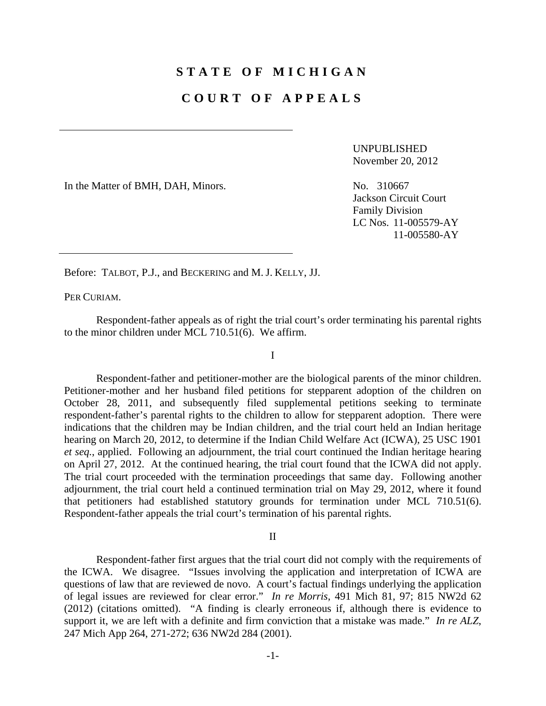## **STATE OF MICHIGAN**

## **COURT OF APPEALS**

UNPUBLISHED November 20, 2012

In the Matter of BMH, DAH, Minors. No. 310667

Jackson Circuit Court Family Division LC Nos. 11-005579-AY 11-005580-AY

Before: TALBOT, P.J., and BECKERING and M. J. KELLY, JJ.

PER CURIAM.

 Respondent-father appeals as of right the trial court's order terminating his parental rights to the minor children under MCL 710.51(6). We affirm.

I

 Respondent-father and petitioner-mother are the biological parents of the minor children. Petitioner-mother and her husband filed petitions for stepparent adoption of the children on October 28, 2011, and subsequently filed supplemental petitions seeking to terminate respondent-father's parental rights to the children to allow for stepparent adoption. There were indications that the children may be Indian children, and the trial court held an Indian heritage hearing on March 20, 2012, to determine if the Indian Child Welfare Act (ICWA), 25 USC 1901 *et seq.*, applied. Following an adjournment, the trial court continued the Indian heritage hearing on April 27, 2012. At the continued hearing, the trial court found that the ICWA did not apply. The trial court proceeded with the termination proceedings that same day. Following another adjournment, the trial court held a continued termination trial on May 29, 2012, where it found that petitioners had established statutory grounds for termination under MCL 710.51(6). Respondent-father appeals the trial court's termination of his parental rights.

II

 Respondent-father first argues that the trial court did not comply with the requirements of the ICWA. We disagree. "Issues involving the application and interpretation of ICWA are questions of law that are reviewed de novo. A court's factual findings underlying the application of legal issues are reviewed for clear error." *In re Morris*, 491 Mich 81, 97; 815 NW2d 62 (2012) (citations omitted). "A finding is clearly erroneous if, although there is evidence to support it, we are left with a definite and firm conviction that a mistake was made." *In re ALZ*, 247 Mich App 264, 271-272; 636 NW2d 284 (2001).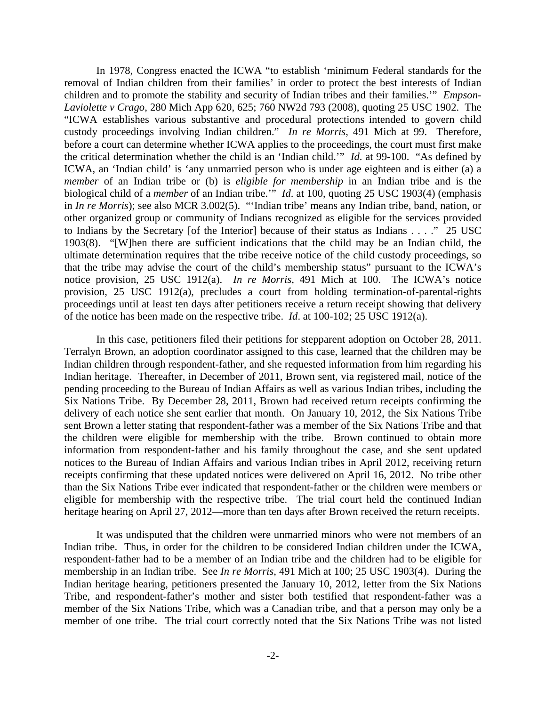In 1978, Congress enacted the ICWA "to establish 'minimum Federal standards for the removal of Indian children from their families' in order to protect the best interests of Indian children and to promote the stability and security of Indian tribes and their families.'" *Empson-Laviolette v Crago*, 280 Mich App 620, 625; 760 NW2d 793 (2008), quoting 25 USC 1902. The "ICWA establishes various substantive and procedural protections intended to govern child custody proceedings involving Indian children." *In re Morris*, 491 Mich at 99. Therefore, before a court can determine whether ICWA applies to the proceedings, the court must first make the critical determination whether the child is an 'Indian child.'" *Id*. at 99-100. "As defined by ICWA, an 'Indian child' is 'any unmarried person who is under age eighteen and is either (a) a *member* of an Indian tribe or (b) is *eligible for membership* in an Indian tribe and is the biological child of a *member* of an Indian tribe.<sup>"</sup> *Id*. at 100, quoting 25 USC 1903(4) (emphasis in *In re Morris*); see also MCR 3.002(5). "'Indian tribe' means any Indian tribe, band, nation, or other organized group or community of Indians recognized as eligible for the services provided to Indians by the Secretary [of the Interior] because of their status as Indians . . . ." 25 USC 1903(8). "[W]hen there are sufficient indications that the child may be an Indian child, the ultimate determination requires that the tribe receive notice of the child custody proceedings, so that the tribe may advise the court of the child's membership status" pursuant to the ICWA's notice provision, 25 USC 1912(a). *In re Morris*, 491 Mich at 100. The ICWA's notice provision, 25 USC 1912(a), precludes a court from holding termination-of-parental-rights proceedings until at least ten days after petitioners receive a return receipt showing that delivery of the notice has been made on the respective tribe. *Id*. at 100-102; 25 USC 1912(a).

 In this case, petitioners filed their petitions for stepparent adoption on October 28, 2011. Terralyn Brown, an adoption coordinator assigned to this case, learned that the children may be Indian children through respondent-father, and she requested information from him regarding his Indian heritage. Thereafter, in December of 2011, Brown sent, via registered mail, notice of the pending proceeding to the Bureau of Indian Affairs as well as various Indian tribes, including the Six Nations Tribe. By December 28, 2011, Brown had received return receipts confirming the delivery of each notice she sent earlier that month. On January 10, 2012, the Six Nations Tribe sent Brown a letter stating that respondent-father was a member of the Six Nations Tribe and that the children were eligible for membership with the tribe. Brown continued to obtain more information from respondent-father and his family throughout the case, and she sent updated notices to the Bureau of Indian Affairs and various Indian tribes in April 2012, receiving return receipts confirming that these updated notices were delivered on April 16, 2012. No tribe other than the Six Nations Tribe ever indicated that respondent-father or the children were members or eligible for membership with the respective tribe. The trial court held the continued Indian heritage hearing on April 27, 2012—more than ten days after Brown received the return receipts.

 It was undisputed that the children were unmarried minors who were not members of an Indian tribe. Thus, in order for the children to be considered Indian children under the ICWA, respondent-father had to be a member of an Indian tribe and the children had to be eligible for membership in an Indian tribe. See *In re Morris*, 491 Mich at 100; 25 USC 1903(4). During the Indian heritage hearing, petitioners presented the January 10, 2012, letter from the Six Nations Tribe, and respondent-father's mother and sister both testified that respondent-father was a member of the Six Nations Tribe, which was a Canadian tribe, and that a person may only be a member of one tribe. The trial court correctly noted that the Six Nations Tribe was not listed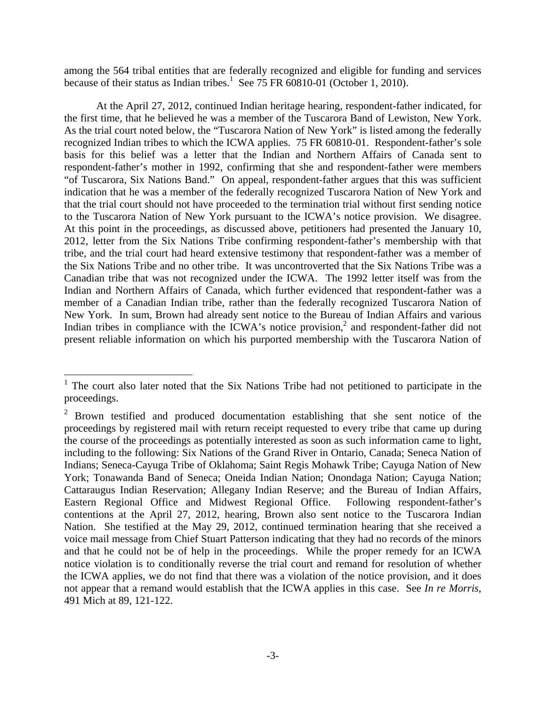among the 564 tribal entities that are federally recognized and eligible for funding and services because of their status as Indian tribes.<sup>1</sup> See 75 FR 60810-01 (October 1, 2010).

 At the April 27, 2012, continued Indian heritage hearing, respondent-father indicated, for the first time, that he believed he was a member of the Tuscarora Band of Lewiston, New York. As the trial court noted below, the "Tuscarora Nation of New York" is listed among the federally recognized Indian tribes to which the ICWA applies. 75 FR 60810-01. Respondent-father's sole basis for this belief was a letter that the Indian and Northern Affairs of Canada sent to respondent-father's mother in 1992, confirming that she and respondent-father were members "of Tuscarora, Six Nations Band." On appeal, respondent-father argues that this was sufficient indication that he was a member of the federally recognized Tuscarora Nation of New York and that the trial court should not have proceeded to the termination trial without first sending notice to the Tuscarora Nation of New York pursuant to the ICWA's notice provision. We disagree. At this point in the proceedings, as discussed above, petitioners had presented the January 10, 2012, letter from the Six Nations Tribe confirming respondent-father's membership with that tribe, and the trial court had heard extensive testimony that respondent-father was a member of the Six Nations Tribe and no other tribe. It was uncontroverted that the Six Nations Tribe was a Canadian tribe that was not recognized under the ICWA. The 1992 letter itself was from the Indian and Northern Affairs of Canada, which further evidenced that respondent-father was a member of a Canadian Indian tribe, rather than the federally recognized Tuscarora Nation of New York. In sum, Brown had already sent notice to the Bureau of Indian Affairs and various Indian tribes in compliance with the ICWA's notice provision,<sup>2</sup> and respondent-father did not present reliable information on which his purported membership with the Tuscarora Nation of

 $\overline{a}$ 

<sup>1</sup> The court also later noted that the Six Nations Tribe had not petitioned to participate in the proceedings.

<sup>&</sup>lt;sup>2</sup> Brown testified and produced documentation establishing that she sent notice of the proceedings by registered mail with return receipt requested to every tribe that came up during the course of the proceedings as potentially interested as soon as such information came to light, including to the following: Six Nations of the Grand River in Ontario, Canada; Seneca Nation of Indians; Seneca-Cayuga Tribe of Oklahoma; Saint Regis Mohawk Tribe; Cayuga Nation of New York; Tonawanda Band of Seneca; Oneida Indian Nation; Onondaga Nation; Cayuga Nation; Cattaraugus Indian Reservation; Allegany Indian Reserve; and the Bureau of Indian Affairs, Eastern Regional Office and Midwest Regional Office. Following respondent-father's contentions at the April 27, 2012, hearing, Brown also sent notice to the Tuscarora Indian Nation. She testified at the May 29, 2012, continued termination hearing that she received a voice mail message from Chief Stuart Patterson indicating that they had no records of the minors and that he could not be of help in the proceedings. While the proper remedy for an ICWA notice violation is to conditionally reverse the trial court and remand for resolution of whether the ICWA applies, we do not find that there was a violation of the notice provision, and it does not appear that a remand would establish that the ICWA applies in this case. See *In re Morris*, 491 Mich at 89, 121-122.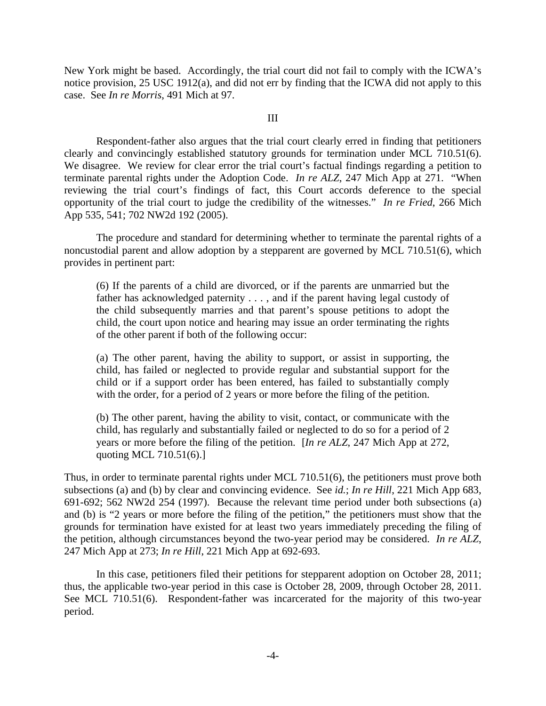New York might be based. Accordingly, the trial court did not fail to comply with the ICWA's notice provision, 25 USC 1912(a), and did not err by finding that the ICWA did not apply to this case. See *In re Morris*, 491 Mich at 97.

## III

 Respondent-father also argues that the trial court clearly erred in finding that petitioners clearly and convincingly established statutory grounds for termination under MCL 710.51(6). We disagree. We review for clear error the trial court's factual findings regarding a petition to terminate parental rights under the Adoption Code. *In re ALZ*, 247 Mich App at 271. "When reviewing the trial court's findings of fact, this Court accords deference to the special opportunity of the trial court to judge the credibility of the witnesses." *In re Fried*, 266 Mich App 535, 541; 702 NW2d 192 (2005).

 The procedure and standard for determining whether to terminate the parental rights of a noncustodial parent and allow adoption by a stepparent are governed by MCL 710.51(6), which provides in pertinent part:

(6) If the parents of a child are divorced, or if the parents are unmarried but the father has acknowledged paternity . . . , and if the parent having legal custody of the child subsequently marries and that parent's spouse petitions to adopt the child, the court upon notice and hearing may issue an order terminating the rights of the other parent if both of the following occur:

(a) The other parent, having the ability to support, or assist in supporting, the child, has failed or neglected to provide regular and substantial support for the child or if a support order has been entered, has failed to substantially comply with the order, for a period of 2 years or more before the filing of the petition.

(b) The other parent, having the ability to visit, contact, or communicate with the child, has regularly and substantially failed or neglected to do so for a period of 2 years or more before the filing of the petition. [*In re ALZ*, 247 Mich App at 272, quoting MCL 710.51(6).]

Thus, in order to terminate parental rights under MCL 710.51(6), the petitioners must prove both subsections (a) and (b) by clear and convincing evidence. See *id.*; *In re Hill*, 221 Mich App 683, 691-692; 562 NW2d 254 (1997). Because the relevant time period under both subsections (a) and (b) is "2 years or more before the filing of the petition," the petitioners must show that the grounds for termination have existed for at least two years immediately preceding the filing of the petition, although circumstances beyond the two-year period may be considered. *In re ALZ*, 247 Mich App at 273; *In re Hill*, 221 Mich App at 692-693.

In this case, petitioners filed their petitions for stepparent adoption on October 28, 2011; thus, the applicable two-year period in this case is October 28, 2009, through October 28, 2011. See MCL 710.51(6). Respondent-father was incarcerated for the majority of this two-year period.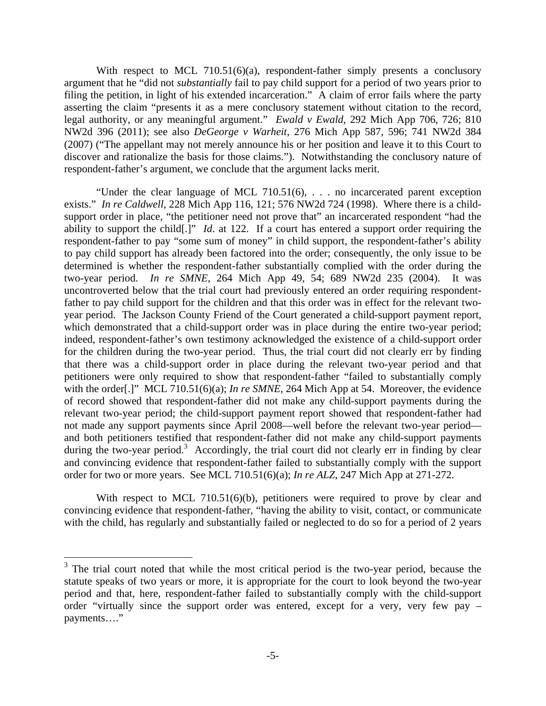With respect to MCL 710.51(6)(a), respondent-father simply presents a conclusory argument that he "did not *substantially* fail to pay child support for a period of two years prior to filing the petition, in light of his extended incarceration." A claim of error fails where the party asserting the claim "presents it as a mere conclusory statement without citation to the record, legal authority, or any meaningful argument." *Ewald v Ewald*, 292 Mich App 706, 726; 810 NW2d 396 (2011); see also *DeGeorge v Warheit*, 276 Mich App 587, 596; 741 NW2d 384 (2007) ("The appellant may not merely announce his or her position and leave it to this Court to discover and rationalize the basis for those claims."). Notwithstanding the conclusory nature of respondent-father's argument, we conclude that the argument lacks merit.

"Under the clear language of MCL 710.51(6), . . . no incarcerated parent exception exists." *In re Caldwell*, 228 Mich App 116, 121; 576 NW2d 724 (1998). Where there is a childsupport order in place, "the petitioner need not prove that" an incarcerated respondent "had the ability to support the child[.]" *Id*. at 122. If a court has entered a support order requiring the respondent-father to pay "some sum of money" in child support, the respondent-father's ability to pay child support has already been factored into the order; consequently, the only issue to be determined is whether the respondent-father substantially complied with the order during the two-year period. *In re SMNE*, 264 Mich App 49, 54; 689 NW2d 235 (2004). It was uncontroverted below that the trial court had previously entered an order requiring respondentfather to pay child support for the children and that this order was in effect for the relevant twoyear period. The Jackson County Friend of the Court generated a child-support payment report, which demonstrated that a child-support order was in place during the entire two-year period; indeed, respondent-father's own testimony acknowledged the existence of a child-support order for the children during the two-year period. Thus, the trial court did not clearly err by finding that there was a child-support order in place during the relevant two-year period and that petitioners were only required to show that respondent-father "failed to substantially comply with the order<sup>[.]"</sup> MCL 710.51(6)(a); *In re SMNE*, 264 Mich App at 54. Moreover, the evidence of record showed that respondent-father did not make any child-support payments during the relevant two-year period; the child-support payment report showed that respondent-father had not made any support payments since April 2008—well before the relevant two-year period and both petitioners testified that respondent-father did not make any child-support payments during the two-year period.<sup>3</sup> Accordingly, the trial court did not clearly err in finding by clear and convincing evidence that respondent-father failed to substantially comply with the support order for two or more years. See MCL 710.51(6)(a); *In re ALZ*, 247 Mich App at 271-272.

With respect to MCL 710.51(6)(b), petitioners were required to prove by clear and convincing evidence that respondent-father, "having the ability to visit, contact, or communicate with the child, has regularly and substantially failed or neglected to do so for a period of 2 years

 $\overline{a}$ 

 $3$  The trial court noted that while the most critical period is the two-year period, because the statute speaks of two years or more, it is appropriate for the court to look beyond the two-year period and that, here, respondent-father failed to substantially comply with the child-support order "virtually since the support order was entered, except for a very, very few pay – payments…."